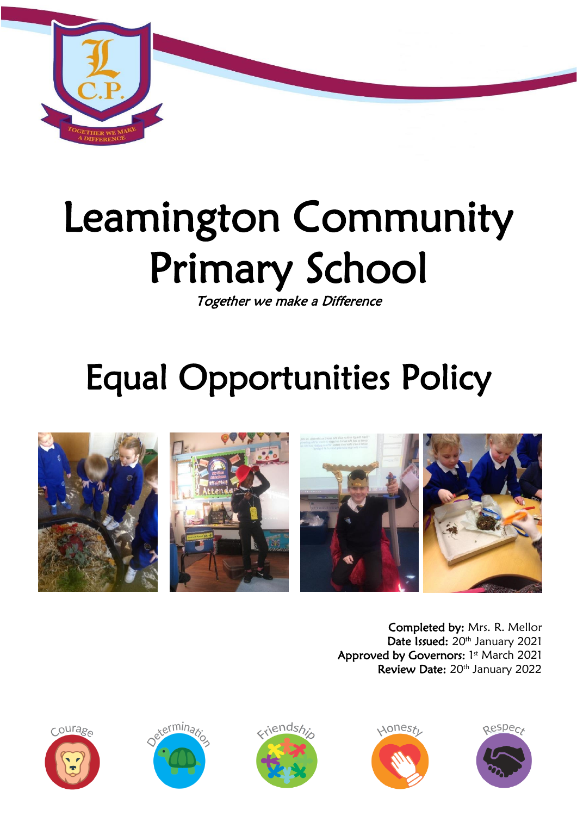

# Leamington Community Primary School

Together we make a Difference

# Equal Opportunities Policy



Completed by: Mrs. R. Mellor Date Issued: 20<sup>th</sup> January 2021 Approved by Governors: 1st March 2021 Review Date: 20<sup>th</sup> January 2022









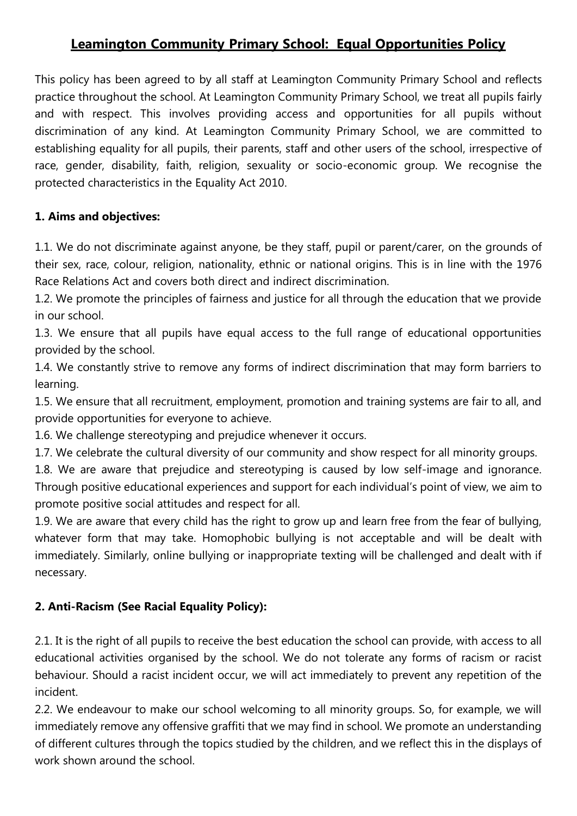## **Leamington Community Primary School: Equal Opportunities Policy**

This policy has been agreed to by all staff at Leamington Community Primary School and reflects practice throughout the school. At Leamington Community Primary School, we treat all pupils fairly and with respect. This involves providing access and opportunities for all pupils without discrimination of any kind. At Leamington Community Primary School, we are committed to establishing equality for all pupils, their parents, staff and other users of the school, irrespective of race, gender, disability, faith, religion, sexuality or socio-economic group. We recognise the protected characteristics in the Equality Act 2010.

#### **1. Aims and objectives:**

1.1. We do not discriminate against anyone, be they staff, pupil or parent/carer, on the grounds of their sex, race, colour, religion, nationality, ethnic or national origins. This is in line with the 1976 Race Relations Act and covers both direct and indirect discrimination.

1.2. We promote the principles of fairness and justice for all through the education that we provide in our school.

1.3. We ensure that all pupils have equal access to the full range of educational opportunities provided by the school.

1.4. We constantly strive to remove any forms of indirect discrimination that may form barriers to learning.

1.5. We ensure that all recruitment, employment, promotion and training systems are fair to all, and provide opportunities for everyone to achieve.

1.6. We challenge stereotyping and prejudice whenever it occurs.

1.7. We celebrate the cultural diversity of our community and show respect for all minority groups.

1.8. We are aware that prejudice and stereotyping is caused by low self-image and ignorance. Through positive educational experiences and support for each individual's point of view, we aim to promote positive social attitudes and respect for all.

1.9. We are aware that every child has the right to grow up and learn free from the fear of bullying, whatever form that may take. Homophobic bullying is not acceptable and will be dealt with immediately. Similarly, online bullying or inappropriate texting will be challenged and dealt with if necessary.

#### **2. Anti-Racism (See Racial Equality Policy):**

2.1. It is the right of all pupils to receive the best education the school can provide, with access to all educational activities organised by the school. We do not tolerate any forms of racism or racist behaviour. Should a racist incident occur, we will act immediately to prevent any repetition of the incident.

2.2. We endeavour to make our school welcoming to all minority groups. So, for example, we will immediately remove any offensive graffiti that we may find in school. We promote an understanding of different cultures through the topics studied by the children, and we reflect this in the displays of work shown around the school.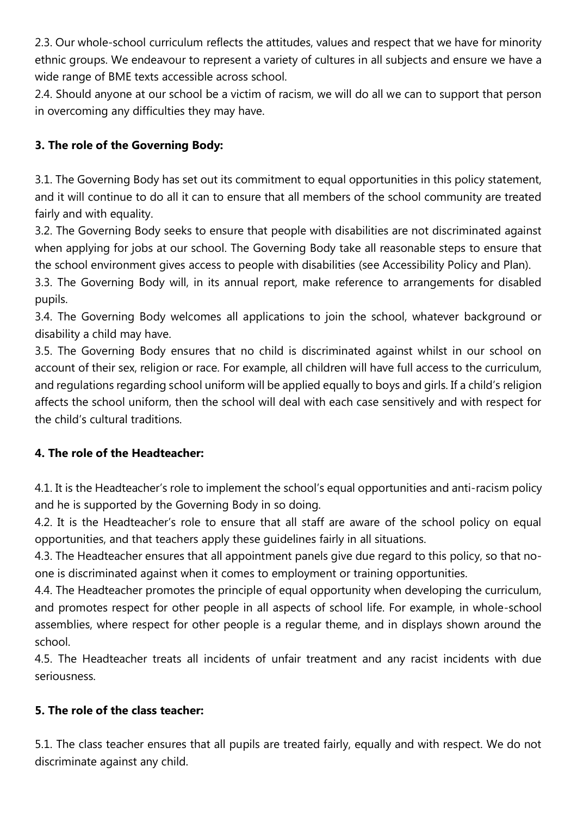2.3. Our whole-school curriculum reflects the attitudes, values and respect that we have for minority ethnic groups. We endeavour to represent a variety of cultures in all subjects and ensure we have a wide range of BME texts accessible across school.

2.4. Should anyone at our school be a victim of racism, we will do all we can to support that person in overcoming any difficulties they may have.

### **3. The role of the Governing Body:**

3.1. The Governing Body has set out its commitment to equal opportunities in this policy statement, and it will continue to do all it can to ensure that all members of the school community are treated fairly and with equality.

3.2. The Governing Body seeks to ensure that people with disabilities are not discriminated against when applying for jobs at our school. The Governing Body take all reasonable steps to ensure that the school environment gives access to people with disabilities (see Accessibility Policy and Plan).

3.3. The Governing Body will, in its annual report, make reference to arrangements for disabled pupils.

3.4. The Governing Body welcomes all applications to join the school, whatever background or disability a child may have.

3.5. The Governing Body ensures that no child is discriminated against whilst in our school on account of their sex, religion or race. For example, all children will have full access to the curriculum, and regulations regarding school uniform will be applied equally to boys and girls. If a child's religion affects the school uniform, then the school will deal with each case sensitively and with respect for the child's cultural traditions.

#### **4. The role of the Headteacher:**

4.1. It is the Headteacher's role to implement the school's equal opportunities and anti-racism policy and he is supported by the Governing Body in so doing.

4.2. It is the Headteacher's role to ensure that all staff are aware of the school policy on equal opportunities, and that teachers apply these guidelines fairly in all situations.

4.3. The Headteacher ensures that all appointment panels give due regard to this policy, so that noone is discriminated against when it comes to employment or training opportunities.

4.4. The Headteacher promotes the principle of equal opportunity when developing the curriculum, and promotes respect for other people in all aspects of school life. For example, in whole-school assemblies, where respect for other people is a regular theme, and in displays shown around the school.

4.5. The Headteacher treats all incidents of unfair treatment and any racist incidents with due seriousness.

#### **5. The role of the class teacher:**

5.1. The class teacher ensures that all pupils are treated fairly, equally and with respect. We do not discriminate against any child.